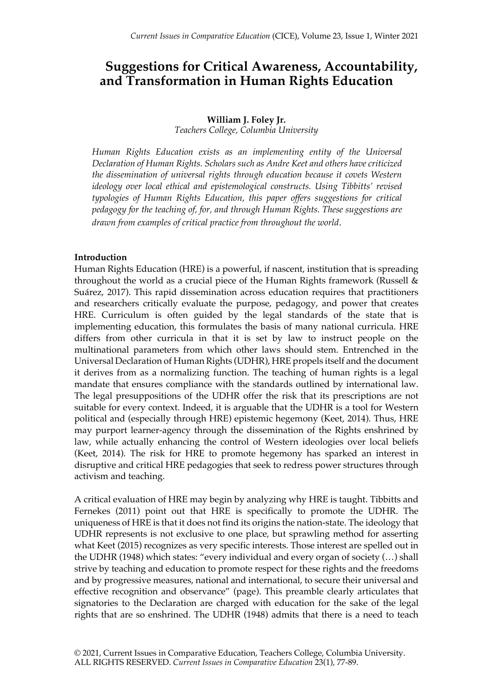# **Suggestions for Critical Awareness, Accountability, and Transformation in Human Rights Education**

## **William J. Foley Jr.**

*Teachers College, Columbia University*

*Human Rights Education exists as an implementing entity of the Universal Declaration of Human Rights. Scholars such as Andre Keet and others have criticized the dissemination of universal rights through education because it covets Western ideology over local ethical and epistemological constructs. Using Tibbitts' revised typologies of Human Rights Education, this paper offers suggestions for critical pedagogy for the teaching of, for, and through Human Rights. These suggestions are drawn from examples of critical practice from throughout the world*.

#### **Introduction**

Human Rights Education (HRE) is a powerful, if nascent, institution that is spreading throughout the world as a crucial piece of the Human Rights framework (Russell & Suárez, 2017). This rapid dissemination across education requires that practitioners and researchers critically evaluate the purpose, pedagogy, and power that creates HRE. Curriculum is often guided by the legal standards of the state that is implementing education, this formulates the basis of many national curricula. HRE differs from other curricula in that it is set by law to instruct people on the multinational parameters from which other laws should stem. Entrenched in the Universal Declaration of Human Rights (UDHR), HRE propels itself and the document it derives from as a normalizing function. The teaching of human rights is a legal mandate that ensures compliance with the standards outlined by international law. The legal presuppositions of the UDHR offer the risk that its prescriptions are not suitable for every context. Indeed, it is arguable that the UDHR is a tool for Western political and (especially through HRE) epistemic hegemony (Keet, 2014). Thus, HRE may purport learner-agency through the dissemination of the Rights enshrined by law, while actually enhancing the control of Western ideologies over local beliefs (Keet, 2014). The risk for HRE to promote hegemony has sparked an interest in disruptive and critical HRE pedagogies that seek to redress power structures through activism and teaching.

A critical evaluation of HRE may begin by analyzing why HRE is taught. Tibbitts and Fernekes (2011) point out that HRE is specifically to promote the UDHR. The uniqueness of HRE is that it does not find its origins the nation-state. The ideology that UDHR represents is not exclusive to one place, but sprawling method for asserting what Keet (2015) recognizes as very specific interests. Those interest are spelled out in the UDHR (1948) which states: "every individual and every organ of society (…) shall strive by teaching and education to promote respect for these rights and the freedoms and by progressive measures, national and international, to secure their universal and effective recognition and observance" (page). This preamble clearly articulates that signatories to the Declaration are charged with education for the sake of the legal rights that are so enshrined. The UDHR (1948) admits that there is a need to teach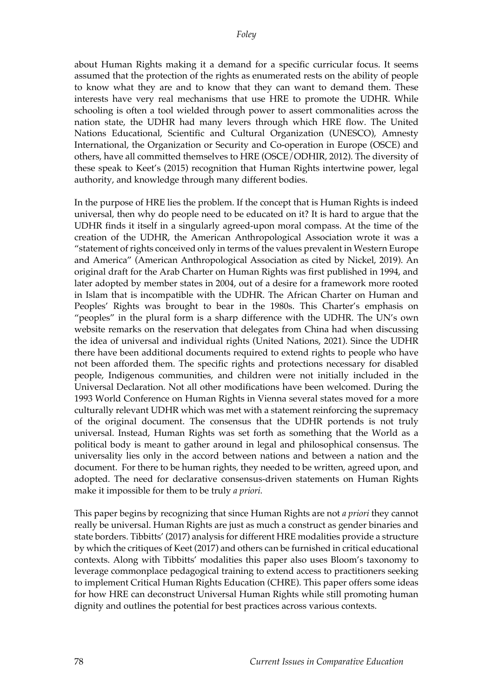about Human Rights making it a demand for a specific curricular focus. It seems assumed that the protection of the rights as enumerated rests on the ability of people to know what they are and to know that they can want to demand them. These interests have very real mechanisms that use HRE to promote the UDHR. While schooling is often a tool wielded through power to assert commonalities across the nation state, the UDHR had many levers through which HRE flow. The United Nations Educational, Scientific and Cultural Organization (UNESCO), Amnesty International, the Organization or Security and Co-operation in Europe (OSCE) and others, have all committed themselves to HRE (OSCE/ODHIR, 2012). The diversity of these speak to Keet's (2015) recognition that Human Rights intertwine power, legal authority, and knowledge through many different bodies.

In the purpose of HRE lies the problem. If the concept that is Human Rights is indeed universal, then why do people need to be educated on it? It is hard to argue that the UDHR finds it itself in a singularly agreed-upon moral compass. At the time of the creation of the UDHR, the American Anthropological Association wrote it was a "statement of rights conceived only in terms of the values prevalent in Western Europe and America" (American Anthropological Association as cited by Nickel, 2019). An original draft for the Arab Charter on Human Rights was first published in 1994, and later adopted by member states in 2004, out of a desire for a framework more rooted in Islam that is incompatible with the UDHR. The African Charter on Human and Peoples' Rights was brought to bear in the 1980s. This Charter's emphasis on "peoples" in the plural form is a sharp difference with the UDHR. The UN's own website remarks on the reservation that delegates from China had when discussing the idea of universal and individual rights (United Nations, 2021). Since the UDHR there have been additional documents required to extend rights to people who have not been afforded them. The specific rights and protections necessary for disabled people, Indigenous communities, and children were not initially included in the Universal Declaration. Not all other modifications have been welcomed. During the 1993 World Conference on Human Rights in Vienna several states moved for a more culturally relevant UDHR which was met with a statement reinforcing the supremacy of the original document. The consensus that the UDHR portends is not truly universal. Instead, Human Rights was set forth as something that the World as a political body is meant to gather around in legal and philosophical consensus. The universality lies only in the accord between nations and between a nation and the document. For there to be human rights, they needed to be written, agreed upon, and adopted. The need for declarative consensus-driven statements on Human Rights make it impossible for them to be truly *a priori.* 

This paper begins by recognizing that since Human Rights are not *a priori* they cannot really be universal. Human Rights are just as much a construct as gender binaries and state borders. Tibbitts' (2017) analysis for different HRE modalities provide a structure by which the critiques of Keet (2017) and others can be furnished in critical educational contexts. Along with Tibbitts' modalities this paper also uses Bloom's taxonomy to leverage commonplace pedagogical training to extend access to practitioners seeking to implement Critical Human Rights Education (CHRE). This paper offers some ideas for how HRE can deconstruct Universal Human Rights while still promoting human dignity and outlines the potential for best practices across various contexts.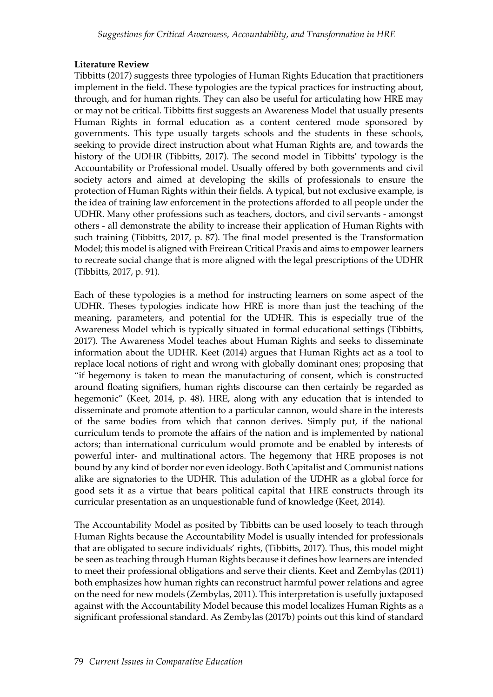## **Literature Review**

Tibbitts (2017) suggests three typologies of Human Rights Education that practitioners implement in the field. These typologies are the typical practices for instructing about, through, and for human rights. They can also be useful for articulating how HRE may or may not be critical. Tibbitts first suggests an Awareness Model that usually presents Human Rights in formal education as a content centered mode sponsored by governments. This type usually targets schools and the students in these schools, seeking to provide direct instruction about what Human Rights are, and towards the history of the UDHR (Tibbitts, 2017). The second model in Tibbitts' typology is the Accountability or Professional model. Usually offered by both governments and civil society actors and aimed at developing the skills of professionals to ensure the protection of Human Rights within their fields. A typical, but not exclusive example, is the idea of training law enforcement in the protections afforded to all people under the UDHR. Many other professions such as teachers, doctors, and civil servants - amongst others - all demonstrate the ability to increase their application of Human Rights with such training (Tibbitts, 2017, p. 87). The final model presented is the Transformation Model; this model is aligned with Freirean Critical Praxis and aims to empower learners to recreate social change that is more aligned with the legal prescriptions of the UDHR (Tibbitts, 2017, p. 91).

Each of these typologies is a method for instructing learners on some aspect of the UDHR. Theses typologies indicate how HRE is more than just the teaching of the meaning, parameters, and potential for the UDHR. This is especially true of the Awareness Model which is typically situated in formal educational settings (Tibbitts, 2017). The Awareness Model teaches about Human Rights and seeks to disseminate information about the UDHR. Keet (2014) argues that Human Rights act as a tool to replace local notions of right and wrong with globally dominant ones; proposing that "if hegemony is taken to mean the manufacturing of consent, which is constructed around floating signifiers, human rights discourse can then certainly be regarded as hegemonic" (Keet, 2014, p. 48). HRE, along with any education that is intended to disseminate and promote attention to a particular cannon, would share in the interests of the same bodies from which that cannon derives. Simply put, if the national curriculum tends to promote the affairs of the nation and is implemented by national actors; than international curriculum would promote and be enabled by interests of powerful inter- and multinational actors. The hegemony that HRE proposes is not bound by any kind of border nor even ideology. Both Capitalist and Communist nations alike are signatories to the UDHR. This adulation of the UDHR as a global force for good sets it as a virtue that bears political capital that HRE constructs through its curricular presentation as an unquestionable fund of knowledge (Keet, 2014).

The Accountability Model as posited by Tibbitts can be used loosely to teach through Human Rights because the Accountability Model is usually intended for professionals that are obligated to secure individuals' rights, (Tibbitts, 2017). Thus, this model might be seen as teaching through Human Rights because it defines how learners are intended to meet their professional obligations and serve their clients. Keet and Zembylas (2011) both emphasizes how human rights can reconstruct harmful power relations and agree on the need for new models (Zembylas, 2011). This interpretation is usefully juxtaposed against with the Accountability Model because this model localizes Human Rights as a significant professional standard. As Zembylas (2017b) points out this kind of standard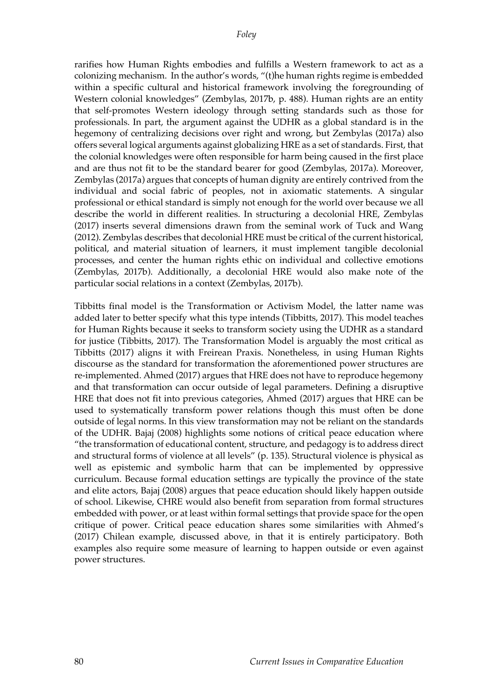rarifies how Human Rights embodies and fulfills a Western framework to act as a colonizing mechanism. In the author's words, "(t)he human rights regime is embedded within a specific cultural and historical framework involving the foregrounding of Western colonial knowledges" (Zembylas, 2017b, p. 488). Human rights are an entity that self-promotes Western ideology through setting standards such as those for professionals. In part, the argument against the UDHR as a global standard is in the hegemony of centralizing decisions over right and wrong, but Zembylas (2017a) also offers several logical arguments against globalizing HRE as a set of standards. First, that the colonial knowledges were often responsible for harm being caused in the first place and are thus not fit to be the standard bearer for good (Zembylas, 2017a). Moreover, Zembylas (2017a) argues that concepts of human dignity are entirely contrived from the individual and social fabric of peoples, not in axiomatic statements. A singular professional or ethical standard is simply not enough for the world over because we all describe the world in different realities. In structuring a decolonial HRE, Zembylas (2017) inserts several dimensions drawn from the seminal work of Tuck and Wang (2012). Zembylas describes that decolonial HRE must be critical of the current historical, political, and material situation of learners, it must implement tangible decolonial processes, and center the human rights ethic on individual and collective emotions (Zembylas, 2017b). Additionally, a decolonial HRE would also make note of the particular social relations in a context (Zembylas, 2017b).

Tibbitts final model is the Transformation or Activism Model, the latter name was added later to better specify what this type intends (Tibbitts, 2017). This model teaches for Human Rights because it seeks to transform society using the UDHR as a standard for justice (Tibbitts, 2017). The Transformation Model is arguably the most critical as Tibbitts (2017) aligns it with Freirean Praxis. Nonetheless, in using Human Rights discourse as the standard for transformation the aforementioned power structures are re-implemented. Ahmed (2017) argues that HRE does not have to reproduce hegemony and that transformation can occur outside of legal parameters. Defining a disruptive HRE that does not fit into previous categories, Ahmed (2017) argues that HRE can be used to systematically transform power relations though this must often be done outside of legal norms. In this view transformation may not be reliant on the standards of the UDHR. Bajaj (2008) highlights some notions of critical peace education where "the transformation of educational content, structure, and pedagogy is to address direct and structural forms of violence at all levels" (p. 135). Structural violence is physical as well as epistemic and symbolic harm that can be implemented by oppressive curriculum. Because formal education settings are typically the province of the state and elite actors, Bajaj (2008) argues that peace education should likely happen outside of school. Likewise, CHRE would also benefit from separation from formal structures embedded with power, or at least within formal settings that provide space for the open critique of power. Critical peace education shares some similarities with Ahmed's (2017) Chilean example, discussed above, in that it is entirely participatory. Both examples also require some measure of learning to happen outside or even against power structures.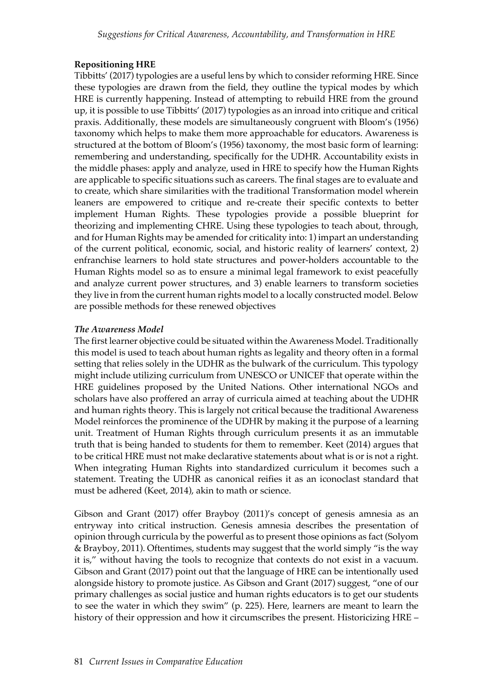## **Repositioning HRE**

Tibbitts' (2017) typologies are a useful lens by which to consider reforming HRE. Since these typologies are drawn from the field, they outline the typical modes by which HRE is currently happening. Instead of attempting to rebuild HRE from the ground up, it is possible to use Tibbitts' (2017) typologies as an inroad into critique and critical praxis. Additionally, these models are simultaneously congruent with Bloom's (1956) taxonomy which helps to make them more approachable for educators. Awareness is structured at the bottom of Bloom's (1956) taxonomy, the most basic form of learning: remembering and understanding, specifically for the UDHR. Accountability exists in the middle phases: apply and analyze, used in HRE to specify how the Human Rights are applicable to specific situations such as careers. The final stages are to evaluate and to create, which share similarities with the traditional Transformation model wherein leaners are empowered to critique and re-create their specific contexts to better implement Human Rights. These typologies provide a possible blueprint for theorizing and implementing CHRE. Using these typologies to teach about, through, and for Human Rights may be amended for criticality into: 1) impart an understanding of the current political, economic, social, and historic reality of learners' context, 2) enfranchise learners to hold state structures and power-holders accountable to the Human Rights model so as to ensure a minimal legal framework to exist peacefully and analyze current power structures, and 3) enable learners to transform societies they live in from the current human rights model to a locally constructed model. Below are possible methods for these renewed objectives

## *The Awareness Model*

The first learner objective could be situated within the Awareness Model. Traditionally this model is used to teach about human rights as legality and theory often in a formal setting that relies solely in the UDHR as the bulwark of the curriculum. This typology might include utilizing curriculum from UNESCO or UNICEF that operate within the HRE guidelines proposed by the United Nations. Other international NGOs and scholars have also proffered an array of curricula aimed at teaching about the UDHR and human rights theory. This is largely not critical because the traditional Awareness Model reinforces the prominence of the UDHR by making it the purpose of a learning unit. Treatment of Human Rights through curriculum presents it as an immutable truth that is being handed to students for them to remember. Keet (2014) argues that to be critical HRE must not make declarative statements about what is or is not a right. When integrating Human Rights into standardized curriculum it becomes such a statement. Treating the UDHR as canonical reifies it as an iconoclast standard that must be adhered (Keet, 2014), akin to math or science.

Gibson and Grant (2017) offer Brayboy (2011)'s concept of genesis amnesia as an entryway into critical instruction. Genesis amnesia describes the presentation of opinion through curricula by the powerful as to present those opinions as fact (Solyom & Brayboy, 2011). Oftentimes, students may suggest that the world simply "is the way it is," without having the tools to recognize that contexts do not exist in a vacuum. Gibson and Grant (2017) point out that the language of HRE can be intentionally used alongside history to promote justice. As Gibson and Grant (2017) suggest, "one of our primary challenges as social justice and human rights educators is to get our students to see the water in which they swim" (p. 225). Here, learners are meant to learn the history of their oppression and how it circumscribes the present. Historicizing HRE –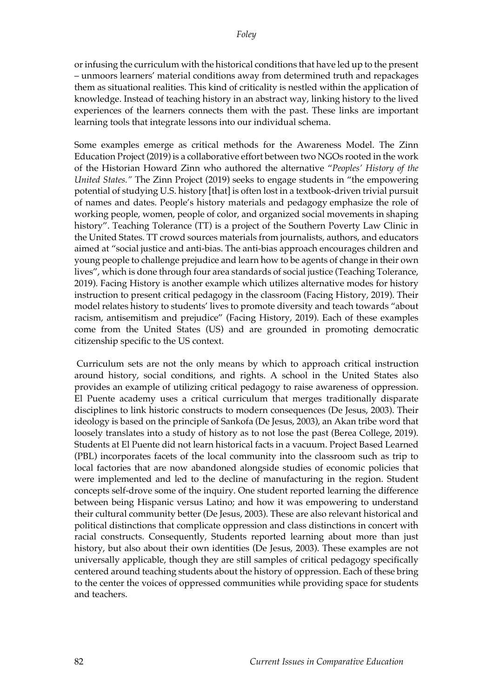or infusing the curriculum with the historical conditions that have led up to the present – unmoors learners' material conditions away from determined truth and repackages them as situational realities. This kind of criticality is nestled within the application of knowledge. Instead of teaching history in an abstract way, linking history to the lived experiences of the learners connects them with the past. These links are important learning tools that integrate lessons into our individual schema.

Some examples emerge as critical methods for the Awareness Model. The Zinn Education Project (2019) is a collaborative effort between two NGOs rooted in the work of the Historian Howard Zinn who authored the alternative "*Peoples' History of the United States."* The Zinn Project (2019) seeks to engage students in "the empowering potential of studying U.S. history [that] is often lost in a textbook-driven trivial pursuit of names and dates. People's history materials and pedagogy emphasize the role of working people, women, people of color, and organized social movements in shaping history". Teaching Tolerance (TT) is a project of the Southern Poverty Law Clinic in the United States. TT crowd sources materials from journalists, authors, and educators aimed at "social justice and anti-bias. The anti-bias approach encourages children and young people to challenge prejudice and learn how to be agents of change in their own lives", which is done through four area standards of social justice (Teaching Tolerance, 2019). Facing History is another example which utilizes alternative modes for history instruction to present critical pedagogy in the classroom (Facing History, 2019). Their model relates history to students' lives to promote diversity and teach towards "about racism, antisemitism and prejudice" (Facing History, 2019). Each of these examples come from the United States (US) and are grounded in promoting democratic citizenship specific to the US context.

Curriculum sets are not the only means by which to approach critical instruction around history, social conditions, and rights. A school in the United States also provides an example of utilizing critical pedagogy to raise awareness of oppression. El Puente academy uses a critical curriculum that merges traditionally disparate disciplines to link historic constructs to modern consequences (De Jesus, 2003). Their ideology is based on the principle of Sankofa (De Jesus, 2003), an Akan tribe word that loosely translates into a study of history as to not lose the past (Berea College, 2019). Students at El Puente did not learn historical facts in a vacuum. Project Based Learned (PBL) incorporates facets of the local community into the classroom such as trip to local factories that are now abandoned alongside studies of economic policies that were implemented and led to the decline of manufacturing in the region. Student concepts self-drove some of the inquiry. One student reported learning the difference between being Hispanic versus Latino; and how it was empowering to understand their cultural community better (De Jesus, 2003). These are also relevant historical and political distinctions that complicate oppression and class distinctions in concert with racial constructs. Consequently, Students reported learning about more than just history, but also about their own identities (De Jesus, 2003). These examples are not universally applicable, though they are still samples of critical pedagogy specifically centered around teaching students about the history of oppression. Each of these bring to the center the voices of oppressed communities while providing space for students and teachers.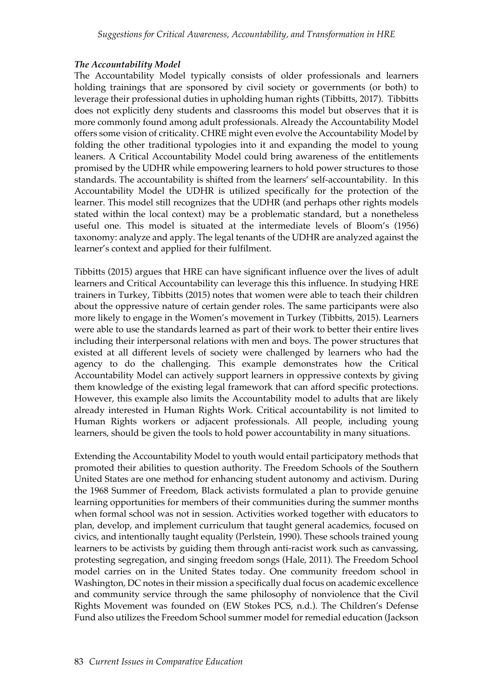## *The Accountability Model*

The Accountability Model typically consists of older professionals and learners holding trainings that are sponsored by civil society or governments (or both) to leverage their professional duties in upholding human rights (Tibbitts, 2017). Tibbitts does not explicitly deny students and classrooms this model but observes that it is more commonly found among adult professionals. Already the Accountability Model offers some vision of criticality. CHRE might even evolve the Accountability Model by folding the other traditional typologies into it and expanding the model to young leaners. A Critical Accountability Model could bring awareness of the entitlements promised by the UDHR while empowering learners to hold power structures to those standards. The accountability is shifted from the learners' self-accountability. In this Accountability Model the UDHR is utilized specifically for the protection of the learner. This model still recognizes that the UDHR (and perhaps other rights models stated within the local context) may be a problematic standard, but a nonetheless useful one. This model is situated at the intermediate levels of Bloom's (1956) taxonomy: analyze and apply. The legal tenants of the UDHR are analyzed against the learner's context and applied for their fulfilment.

Tibbitts (2015) argues that HRE can have significant influence over the lives of adult learners and Critical Accountability can leverage this this influence. In studying HRE trainers in Turkey, Tibbitts (2015) notes that women were able to teach their children about the oppressive nature of certain gender roles. The same participants were also more likely to engage in the Women's movement in Turkey (Tibbitts, 2015). Learners were able to use the standards learned as part of their work to better their entire lives including their interpersonal relations with men and boys. The power structures that existed at all different levels of society were challenged by learners who had the agency to do the challenging. This example demonstrates how the Critical Accountability Model can actively support learners in oppressive contexts by giving them knowledge of the existing legal framework that can afford specific protections. However, this example also limits the Accountability model to adults that are likely already interested in Human Rights Work. Critical accountability is not limited to Human Rights workers or adjacent professionals. All people, including young learners, should be given the tools to hold power accountability in many situations.

Extending the Accountability Model to youth would entail participatory methods that promoted their abilities to question authority. The Freedom Schools of the Southern United States are one method for enhancing student autonomy and activism. During the 1968 Summer of Freedom, Black activists formulated a plan to provide genuine learning opportunities for members of their communities during the summer months when formal school was not in session. Activities worked together with educators to plan, develop, and implement curriculum that taught general academics, focused on civics, and intentionally taught equality (Perlstein, 1990). These schools trained young learners to be activists by guiding them through anti-racist work such as canvassing, protesting segregation, and singing freedom songs (Hale, 2011). The Freedom School model carries on in the United States today. One community freedom school in Washington, DC notes in their mission a specifically dual focus on academic excellence and community service through the same philosophy of nonviolence that the Civil Rights Movement was founded on (EW Stokes PCS, n.d.). The Children's Defense Fund also utilizes the Freedom School summer model for remedial education (Jackson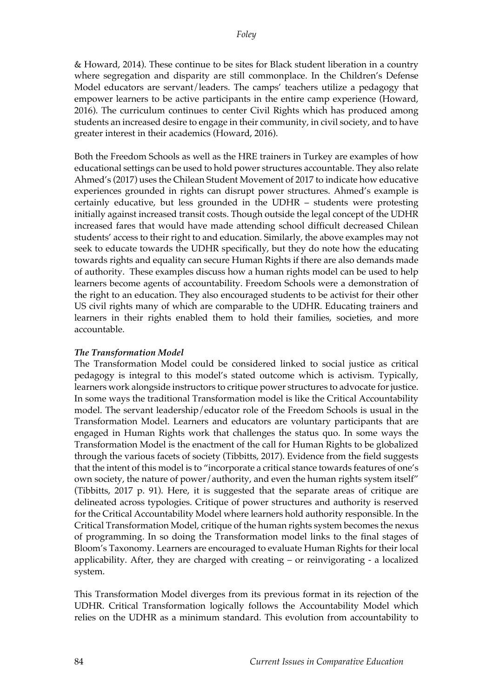& Howard, 2014). These continue to be sites for Black student liberation in a country where segregation and disparity are still commonplace. In the Children's Defense Model educators are servant/leaders. The camps' teachers utilize a pedagogy that empower learners to be active participants in the entire camp experience (Howard, 2016). The curriculum continues to center Civil Rights which has produced among students an increased desire to engage in their community, in civil society, and to have greater interest in their academics (Howard, 2016).

Both the Freedom Schools as well as the HRE trainers in Turkey are examples of how educational settings can be used to hold power structures accountable. They also relate Ahmed's (2017) uses the Chilean Student Movement of 2017 to indicate how educative experiences grounded in rights can disrupt power structures. Ahmed's example is certainly educative, but less grounded in the UDHR – students were protesting initially against increased transit costs. Though outside the legal concept of the UDHR increased fares that would have made attending school difficult decreased Chilean students' access to their right to and education. Similarly, the above examples may not seek to educate towards the UDHR specifically, but they do note how the educating towards rights and equality can secure Human Rights if there are also demands made of authority. These examples discuss how a human rights model can be used to help learners become agents of accountability. Freedom Schools were a demonstration of the right to an education. They also encouraged students to be activist for their other US civil rights many of which are comparable to the UDHR. Educating trainers and learners in their rights enabled them to hold their families, societies, and more accountable.

#### *The Transformation Model*

The Transformation Model could be considered linked to social justice as critical pedagogy is integral to this model's stated outcome which is activism. Typically, learners work alongside instructors to critique power structures to advocate for justice. In some ways the traditional Transformation model is like the Critical Accountability model. The servant leadership/educator role of the Freedom Schools is usual in the Transformation Model. Learners and educators are voluntary participants that are engaged in Human Rights work that challenges the status quo. In some ways the Transformation Model is the enactment of the call for Human Rights to be globalized through the various facets of society (Tibbitts, 2017). Evidence from the field suggests that the intent of this model is to "incorporate a critical stance towards features of one's own society, the nature of power/authority, and even the human rights system itself" (Tibbitts, 2017 p. 91). Here, it is suggested that the separate areas of critique are delineated across typologies. Critique of power structures and authority is reserved for the Critical Accountability Model where learners hold authority responsible. In the Critical Transformation Model, critique of the human rights system becomes the nexus of programming. In so doing the Transformation model links to the final stages of Bloom's Taxonomy. Learners are encouraged to evaluate Human Rights for their local applicability. After, they are charged with creating – or reinvigorating - a localized system.

This Transformation Model diverges from its previous format in its rejection of the UDHR. Critical Transformation logically follows the Accountability Model which relies on the UDHR as a minimum standard. This evolution from accountability to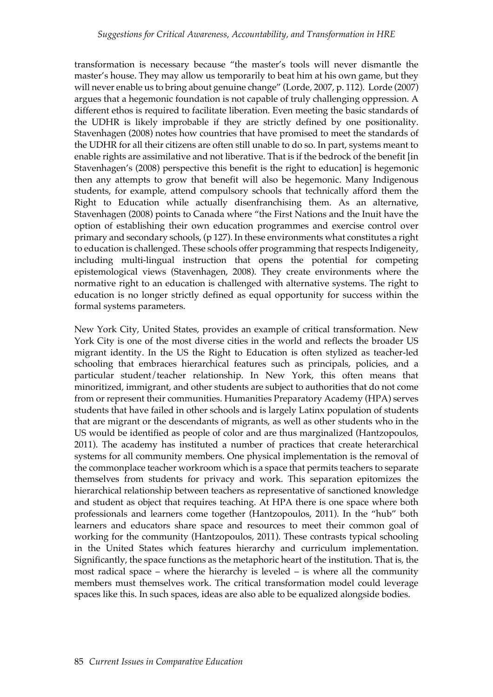transformation is necessary because "the master's tools will never dismantle the master's house. They may allow us temporarily to beat him at his own game, but they will never enable us to bring about genuine change" (Lorde, 2007, p. 112). Lorde (2007) argues that a hegemonic foundation is not capable of truly challenging oppression. A different ethos is required to facilitate liberation. Even meeting the basic standards of the UDHR is likely improbable if they are strictly defined by one positionality. Stavenhagen (2008) notes how countries that have promised to meet the standards of the UDHR for all their citizens are often still unable to do so. In part, systems meant to enable rights are assimilative and not liberative. That is if the bedrock of the benefit [in Stavenhagen's (2008) perspective this benefit is the right to education] is hegemonic then any attempts to grow that benefit will also be hegemonic. Many Indigenous students, for example, attend compulsory schools that technically afford them the Right to Education while actually disenfranchising them. As an alternative, Stavenhagen (2008) points to Canada where "the First Nations and the Inuit have the option of establishing their own education programmes and exercise control over primary and secondary schools, (p 127). In these environments what constitutes a right to education is challenged. These schools offer programming that respects Indigeneity, including multi-lingual instruction that opens the potential for competing epistemological views (Stavenhagen, 2008). They create environments where the normative right to an education is challenged with alternative systems. The right to education is no longer strictly defined as equal opportunity for success within the formal systems parameters.

New York City, United States, provides an example of critical transformation. New York City is one of the most diverse cities in the world and reflects the broader US migrant identity. In the US the Right to Education is often stylized as teacher-led schooling that embraces hierarchical features such as principals, policies, and a particular student/teacher relationship. In New York, this often means that minoritized, immigrant, and other students are subject to authorities that do not come from or represent their communities. Humanities Preparatory Academy (HPA) serves students that have failed in other schools and is largely Latinx population of students that are migrant or the descendants of migrants, as well as other students who in the US would be identified as people of color and are thus marginalized (Hantzopoulos, 2011). The academy has instituted a number of practices that create heterarchical systems for all community members. One physical implementation is the removal of the commonplace teacher workroom which is a space that permits teachers to separate themselves from students for privacy and work. This separation epitomizes the hierarchical relationship between teachers as representative of sanctioned knowledge and student as object that requires teaching. At HPA there is one space where both professionals and learners come together (Hantzopoulos, 2011). In the "hub" both learners and educators share space and resources to meet their common goal of working for the community (Hantzopoulos, 2011). These contrasts typical schooling in the United States which features hierarchy and curriculum implementation. Significantly, the space functions as the metaphoric heart of the institution. That is, the most radical space – where the hierarchy is leveled – is where all the community members must themselves work. The critical transformation model could leverage spaces like this. In such spaces, ideas are also able to be equalized alongside bodies.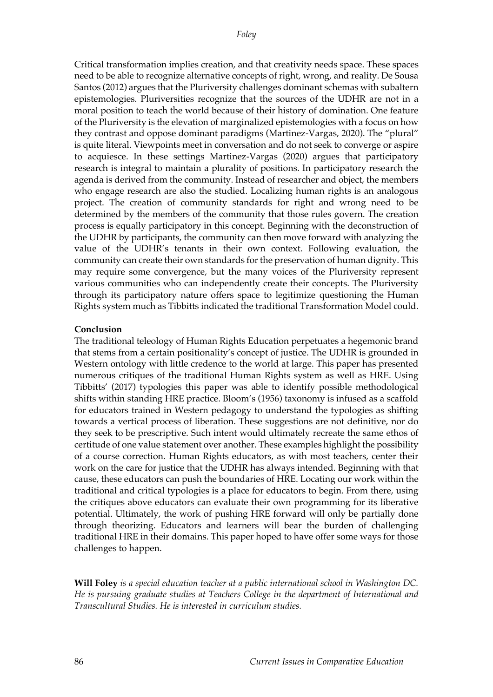Critical transformation implies creation, and that creativity needs space. These spaces need to be able to recognize alternative concepts of right, wrong, and reality. De Sousa Santos (2012) argues that the Pluriversity challenges dominant schemas with subaltern epistemologies. Pluriversities recognize that the sources of the UDHR are not in a moral position to teach the world because of their history of domination. One feature of the Pluriversity is the elevation of marginalized epistemologies with a focus on how they contrast and oppose dominant paradigms (Martinez-Vargas, 2020). The "plural" is quite literal. Viewpoints meet in conversation and do not seek to converge or aspire to acquiesce. In these settings Martinez-Vargas (2020) argues that participatory research is integral to maintain a plurality of positions. In participatory research the agenda is derived from the community. Instead of researcher and object, the members who engage research are also the studied. Localizing human rights is an analogous project. The creation of community standards for right and wrong need to be determined by the members of the community that those rules govern. The creation process is equally participatory in this concept. Beginning with the deconstruction of the UDHR by participants, the community can then move forward with analyzing the value of the UDHR's tenants in their own context. Following evaluation, the community can create their own standards for the preservation of human dignity. This may require some convergence, but the many voices of the Pluriversity represent various communities who can independently create their concepts. The Pluriversity through its participatory nature offers space to legitimize questioning the Human Rights system much as Tibbitts indicated the traditional Transformation Model could.

#### **Conclusion**

The traditional teleology of Human Rights Education perpetuates a hegemonic brand that stems from a certain positionality's concept of justice. The UDHR is grounded in Western ontology with little credence to the world at large. This paper has presented numerous critiques of the traditional Human Rights system as well as HRE. Using Tibbitts' (2017) typologies this paper was able to identify possible methodological shifts within standing HRE practice. Bloom's (1956) taxonomy is infused as a scaffold for educators trained in Western pedagogy to understand the typologies as shifting towards a vertical process of liberation. These suggestions are not definitive, nor do they seek to be prescriptive. Such intent would ultimately recreate the same ethos of certitude of one value statement over another. These examples highlight the possibility of a course correction. Human Rights educators, as with most teachers, center their work on the care for justice that the UDHR has always intended. Beginning with that cause, these educators can push the boundaries of HRE. Locating our work within the traditional and critical typologies is a place for educators to begin. From there, using the critiques above educators can evaluate their own programming for its liberative potential. Ultimately, the work of pushing HRE forward will only be partially done through theorizing. Educators and learners will bear the burden of challenging traditional HRE in their domains. This paper hoped to have offer some ways for those challenges to happen.

**Will Foley** *is a special education teacher at a public international school in Washington DC. He is pursuing graduate studies at Teachers College in the department of International and Transcultural Studies. He is interested in curriculum studies.*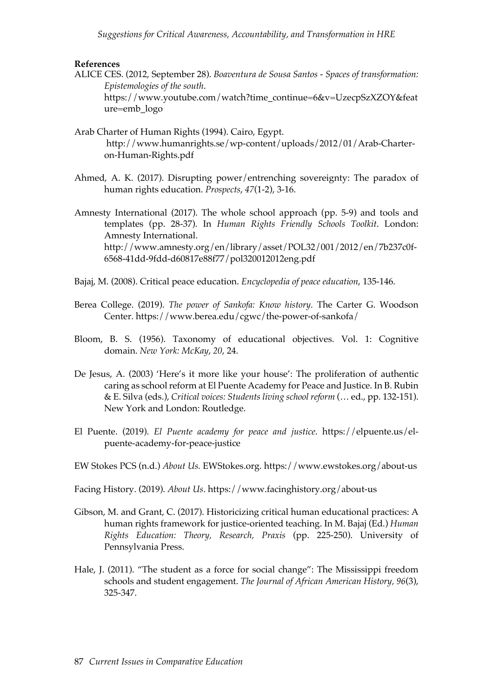#### **References**

- ALICE CES. (2012, September 28). *Boaventura de Sousa Santos - Spaces of transformation: Epistemologies of the south*. https://www.youtube.com/watch?time\_continue=6&v=UzecpSzXZOY&feat ure=emb\_logo
- Arab Charter of Human Rights (1994). Cairo, Egypt. http://www.humanrights.se/wp-content/uploads/2012/01/Arab-Charteron-Human-Rights.pdf
- Ahmed, A. K. (2017). Disrupting power/entrenching sovereignty: The paradox of human rights education. *Prospects*, *47*(1-2), 3-16.
- Amnesty International (2017). The whole school approach (pp. 5-9) and tools and templates (pp. 28-37). In *Human Rights Friendly Schools Toolkit*. London: Amnesty International. http://www.amnesty.org/en/library/asset/POL32/001/2012/en/7b237c0f-6568-41dd-9fdd-d60817e88f77/pol320012012eng.pdf
- Bajaj, M. (2008). Critical peace education. *Encyclopedia of peace education*, 135-146.
- Berea College. (2019). *The power of Sankofa: Know history.* The Carter G. Woodson Center. https://www.berea.edu/cgwc/the-power-of-sankofa/
- Bloom, B. S. (1956). Taxonomy of educational objectives. Vol. 1: Cognitive domain. *New York: McKay*, *20*, 24.
- De Jesus, A. (2003) 'Here's it more like your house': The proliferation of authentic caring as school reform at El Puente Academy for Peace and Justice. In B. Rubin & E. Silva (eds.), *Critical voices: Students living school reform* (… ed., pp. 132-151). New York and London: Routledge.
- El Puente. (2019). *El Puente academy for peace and justice*. https://elpuente.us/elpuente-academy-for-peace-justice
- EW Stokes PCS (n.d.) *About Us.* EWStokes.org. https://www.ewstokes.org/about-us
- Facing History. (2019). *About Us*. https://www.facinghistory.org/about-us
- Gibson, M. and Grant, C. (2017). Historicizing critical human educational practices: A human rights framework for justice-oriented teaching. In M. Bajaj (Ed.) *Human Rights Education: Theory, Research, Praxis* (pp. 225-250). University of Pennsylvania Press.
- Hale, J. (2011). "The student as a force for social change": The Mississippi freedom schools and student engagement. *The Journal of African American History, 96*(3), 325-347.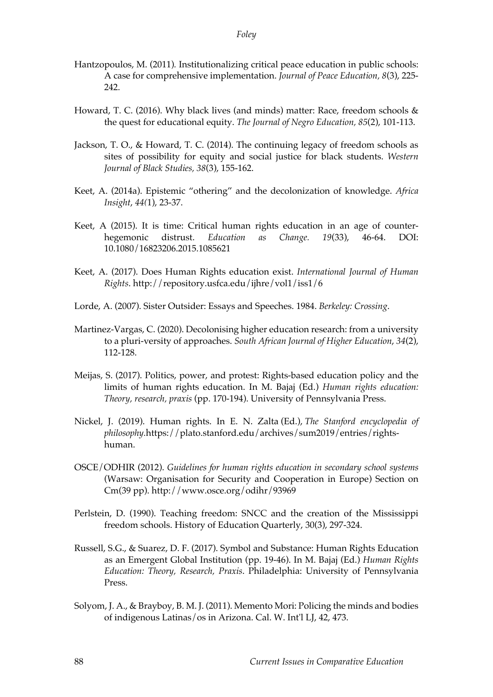- Hantzopoulos, M. (2011)*.* Institutionalizing critical peace education in public schools: A case for comprehensive implementation. *Journal of Peace Education, 8*(3), 225- 242.
- Howard, T. C. (2016). Why black lives (and minds) matter: Race, freedom schools & the quest for educational equity. *The Journal of Negro Education, 85*(2), 101-113.
- Jackson, T. O., & Howard, T. C. (2014). The continuing legacy of freedom schools as sites of possibility for equity and social justice for black students. *Western Journal of Black Studies, 38*(3), 155-162.
- Keet, A. (2014a). Epistemic "othering" and the decolonization of knowledge. *Africa Insight*, *44(*1), 23-37.
- Keet, A (2015). It is time: Critical human rights education in an age of counterhegemonic distrust. *Education as Change. 19*(33), 46-64. DOI: 10.1080/16823206.2015.1085621
- Keet, A. (2017). Does Human Rights education exist. *International Journal of Human Rights*. http://repository.usfca.edu/ijhre/vol1/iss1/6
- Lorde, A. (2007). Sister Outsider: Essays and Speeches. 1984. *Berkeley: Crossing*.
- Martinez-Vargas, C. (2020). Decolonising higher education research: from a university to a pluri-versity of approaches. *South African Journal of Higher Education*, *34*(2), 112-128.
- Meijas, S. (2017). Politics, power, and protest: Rights-based education policy and the limits of human rights education. In M. Bajaj (Ed.) *Human rights education: Theory, research, praxis* (pp. 170-194). University of Pennsylvania Press.
- Nickel, J. (2019). Human rights. In E. N. Zalta (Ed.), *The Stanford encyclopedia of philosophy.*https://plato.stanford.edu/archives/sum2019/entries/rightshuman.
- OSCE/ODHIR (2012). *Guidelines for human rights education in secondary school systems*  (Warsaw: Organisation for Security and Cooperation in Europe) Section on Cm(39 pp). http://www.osce.org/odihr/93969
- Perlstein, D. (1990). Teaching freedom: SNCC and the creation of the Mississippi freedom schools. History of Education Quarterly, 30(3), 297-324.
- Russell, S.G., & Suarez, D. F. (2017). Symbol and Substance: Human Rights Education as an Emergent Global Institution (pp. 19-46). In M. Bajaj (Ed.) *Human Rights Education: Theory, Research, Praxis*. Philadelphia: University of Pennsylvania Press.
- Solyom, J. A., & Brayboy, B. M. J. (2011). Memento Mori: Policing the minds and bodies of indigenous Latinas/os in Arizona. Cal. W. Int'l LJ, 42, 473.